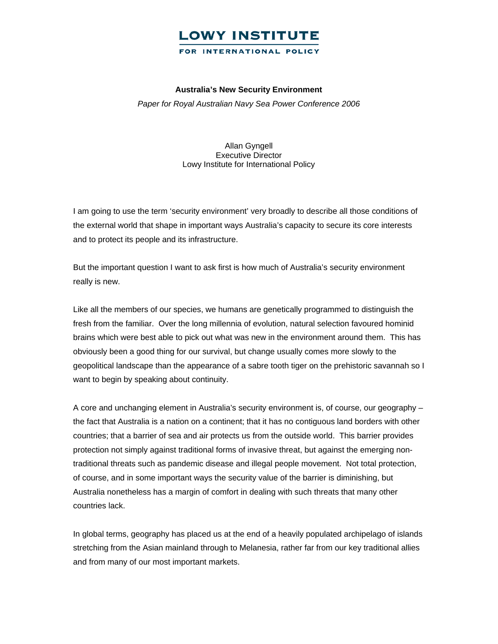#### FOR INTERNATIONAL POLICY

#### **Australia's New Security Environment**

*Paper for Royal Australian Navy Sea Power Conference 2006* 

Allan Gyngell Executive Director Lowy Institute for International Policy

I am going to use the term 'security environment' very broadly to describe all those conditions of the external world that shape in important ways Australia's capacity to secure its core interests and to protect its people and its infrastructure.

But the important question I want to ask first is how much of Australia's security environment really is new.

Like all the members of our species, we humans are genetically programmed to distinguish the fresh from the familiar. Over the long millennia of evolution, natural selection favoured hominid brains which were best able to pick out what was new in the environment around them. This has obviously been a good thing for our survival, but change usually comes more slowly to the geopolitical landscape than the appearance of a sabre tooth tiger on the prehistoric savannah so I want to begin by speaking about continuity.

A core and unchanging element in Australia's security environment is, of course, our geography – the fact that Australia is a nation on a continent; that it has no contiguous land borders with other countries; that a barrier of sea and air protects us from the outside world. This barrier provides protection not simply against traditional forms of invasive threat, but against the emerging nontraditional threats such as pandemic disease and illegal people movement. Not total protection, of course, and in some important ways the security value of the barrier is diminishing, but Australia nonetheless has a margin of comfort in dealing with such threats that many other countries lack.

In global terms, geography has placed us at the end of a heavily populated archipelago of islands stretching from the Asian mainland through to Melanesia, rather far from our key traditional allies and from many of our most important markets.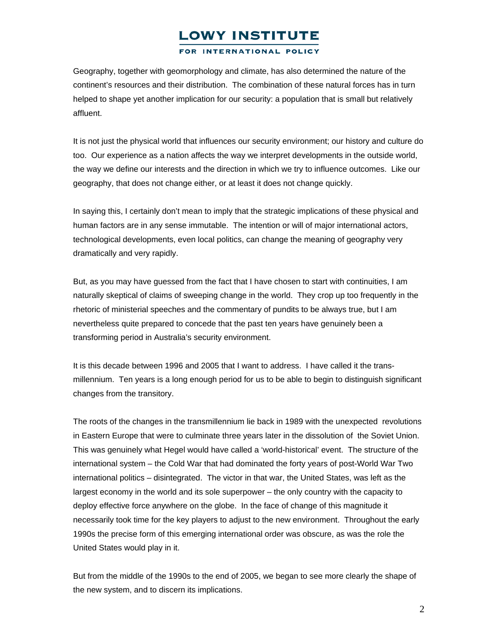FOR INTERNATIONAL POLICY

Geography, together with geomorphology and climate, has also determined the nature of the continent's resources and their distribution. The combination of these natural forces has in turn helped to shape yet another implication for our security: a population that is small but relatively affluent.

It is not just the physical world that influences our security environment; our history and culture do too. Our experience as a nation affects the way we interpret developments in the outside world, the way we define our interests and the direction in which we try to influence outcomes. Like our geography, that does not change either, or at least it does not change quickly.

In saying this, I certainly don't mean to imply that the strategic implications of these physical and human factors are in any sense immutable. The intention or will of major international actors, technological developments, even local politics, can change the meaning of geography very dramatically and very rapidly.

But, as you may have guessed from the fact that I have chosen to start with continuities, I am naturally skeptical of claims of sweeping change in the world. They crop up too frequently in the rhetoric of ministerial speeches and the commentary of pundits to be always true, but I am nevertheless quite prepared to concede that the past ten years have genuinely been a transforming period in Australia's security environment.

It is this decade between 1996 and 2005 that I want to address. I have called it the transmillennium. Ten years is a long enough period for us to be able to begin to distinguish significant changes from the transitory.

The roots of the changes in the transmillennium lie back in 1989 with the unexpected revolutions in Eastern Europe that were to culminate three years later in the dissolution of the Soviet Union. This was genuinely what Hegel would have called a 'world-historical' event. The structure of the international system – the Cold War that had dominated the forty years of post-World War Two international politics – disintegrated. The victor in that war, the United States, was left as the largest economy in the world and its sole superpower – the only country with the capacity to deploy effective force anywhere on the globe. In the face of change of this magnitude it necessarily took time for the key players to adjust to the new environment. Throughout the early 1990s the precise form of this emerging international order was obscure, as was the role the United States would play in it.

But from the middle of the 1990s to the end of 2005, we began to see more clearly the shape of the new system, and to discern its implications.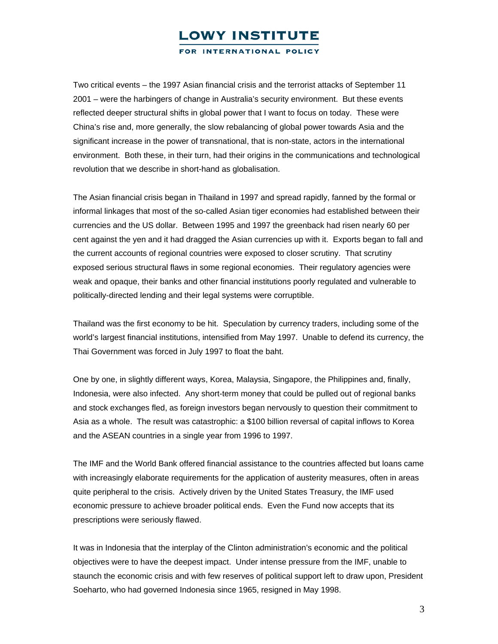FOR INTERNATIONAL POLICY

Two critical events – the 1997 Asian financial crisis and the terrorist attacks of September 11 2001 – were the harbingers of change in Australia's security environment. But these events reflected deeper structural shifts in global power that I want to focus on today. These were China's rise and, more generally, the slow rebalancing of global power towards Asia and the significant increase in the power of transnational, that is non-state, actors in the international environment. Both these, in their turn, had their origins in the communications and technological revolution that we describe in short-hand as globalisation.

The Asian financial crisis began in Thailand in 1997 and spread rapidly, fanned by the formal or informal linkages that most of the so-called Asian tiger economies had established between their currencies and the US dollar. Between 1995 and 1997 the greenback had risen nearly 60 per cent against the yen and it had dragged the Asian currencies up with it. Exports began to fall and the current accounts of regional countries were exposed to closer scrutiny. That scrutiny exposed serious structural flaws in some regional economies. Their regulatory agencies were weak and opaque, their banks and other financial institutions poorly regulated and vulnerable to politically-directed lending and their legal systems were corruptible.

Thailand was the first economy to be hit. Speculation by currency traders, including some of the world's largest financial institutions, intensified from May 1997. Unable to defend its currency, the Thai Government was forced in July 1997 to float the baht.

One by one, in slightly different ways, Korea, Malaysia, Singapore, the Philippines and, finally, Indonesia, were also infected. Any short-term money that could be pulled out of regional banks and stock exchanges fled, as foreign investors began nervously to question their commitment to Asia as a whole. The result was catastrophic: a \$100 billion reversal of capital inflows to Korea and the ASEAN countries in a single year from 1996 to 1997.

The IMF and the World Bank offered financial assistance to the countries affected but loans came with increasingly elaborate requirements for the application of austerity measures, often in areas quite peripheral to the crisis. Actively driven by the United States Treasury, the IMF used economic pressure to achieve broader political ends. Even the Fund now accepts that its prescriptions were seriously flawed.

It was in Indonesia that the interplay of the Clinton administration's economic and the political objectives were to have the deepest impact. Under intense pressure from the IMF, unable to staunch the economic crisis and with few reserves of political support left to draw upon, President Soeharto, who had governed Indonesia since 1965, resigned in May 1998.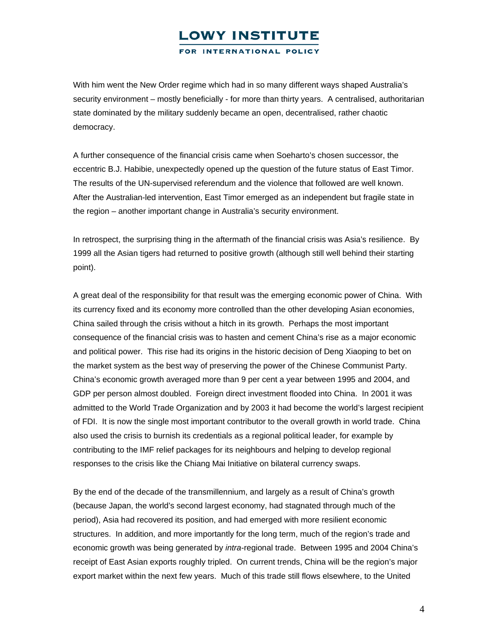FOR INTERNATIONAL POLICY

With him went the New Order regime which had in so many different ways shaped Australia's security environment – mostly beneficially - for more than thirty years. A centralised, authoritarian state dominated by the military suddenly became an open, decentralised, rather chaotic democracy.

A further consequence of the financial crisis came when Soeharto's chosen successor, the eccentric B.J. Habibie, unexpectedly opened up the question of the future status of East Timor. The results of the UN-supervised referendum and the violence that followed are well known. After the Australian-led intervention, East Timor emerged as an independent but fragile state in the region – another important change in Australia's security environment.

In retrospect, the surprising thing in the aftermath of the financial crisis was Asia's resilience. By 1999 all the Asian tigers had returned to positive growth (although still well behind their starting point).

A great deal of the responsibility for that result was the emerging economic power of China. With its currency fixed and its economy more controlled than the other developing Asian economies, China sailed through the crisis without a hitch in its growth. Perhaps the most important consequence of the financial crisis was to hasten and cement China's rise as a major economic and political power. This rise had its origins in the historic decision of Deng Xiaoping to bet on the market system as the best way of preserving the power of the Chinese Communist Party. China's economic growth averaged more than 9 per cent a year between 1995 and 2004, and GDP per person almost doubled. Foreign direct investment flooded into China. In 2001 it was admitted to the World Trade Organization and by 2003 it had become the world's largest recipient of FDI. It is now the single most important contributor to the overall growth in world trade. China also used the crisis to burnish its credentials as a regional political leader, for example by contributing to the IMF relief packages for its neighbours and helping to develop regional responses to the crisis like the Chiang Mai Initiative on bilateral currency swaps.

By the end of the decade of the transmillennium, and largely as a result of China's growth (because Japan, the world's second largest economy, had stagnated through much of the period), Asia had recovered its position, and had emerged with more resilient economic structures. In addition, and more importantly for the long term, much of the region's trade and economic growth was being generated by *intra*-regional trade. Between 1995 and 2004 China's receipt of East Asian exports roughly tripled. On current trends, China will be the region's major export market within the next few years. Much of this trade still flows elsewhere, to the United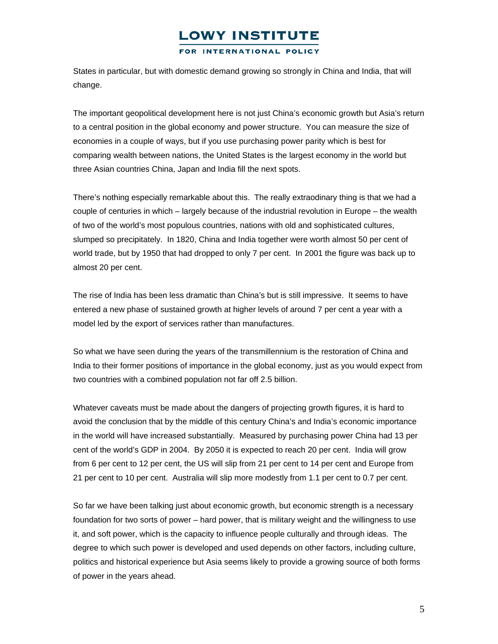#### FOR INTERNATIONAL POLICY

States in particular, but with domestic demand growing so strongly in China and India, that will change.

The important geopolitical development here is not just China's economic growth but Asia's return to a central position in the global economy and power structure. You can measure the size of economies in a couple of ways, but if you use purchasing power parity which is best for comparing wealth between nations, the United States is the largest economy in the world but three Asian countries China, Japan and India fill the next spots.

There's nothing especially remarkable about this. The really extraodinary thing is that we had a couple of centuries in which – largely because of the industrial revolution in Europe – the wealth of two of the world's most populous countries, nations with old and sophisticated cultures, slumped so precipitately. In 1820, China and India together were worth almost 50 per cent of world trade, but by 1950 that had dropped to only 7 per cent. In 2001 the figure was back up to almost 20 per cent.

The rise of India has been less dramatic than China's but is still impressive. It seems to have entered a new phase of sustained growth at higher levels of around 7 per cent a year with a model led by the export of services rather than manufactures.

So what we have seen during the years of the transmillennium is the restoration of China and India to their former positions of importance in the global economy, just as you would expect from two countries with a combined population not far off 2.5 billion.

Whatever caveats must be made about the dangers of projecting growth figures, it is hard to avoid the conclusion that by the middle of this century China's and India's economic importance in the world will have increased substantially. Measured by purchasing power China had 13 per cent of the world's GDP in 2004. By 2050 it is expected to reach 20 per cent. India will grow from 6 per cent to 12 per cent, the US will slip from 21 per cent to 14 per cent and Europe from 21 per cent to 10 per cent. Australia will slip more modestly from 1.1 per cent to 0.7 per cent.

So far we have been talking just about economic growth, but economic strength is a necessary foundation for two sorts of power – hard power, that is military weight and the willingness to use it, and soft power, which is the capacity to influence people culturally and through ideas. The degree to which such power is developed and used depends on other factors, including culture, politics and historical experience but Asia seems likely to provide a growing source of both forms of power in the years ahead.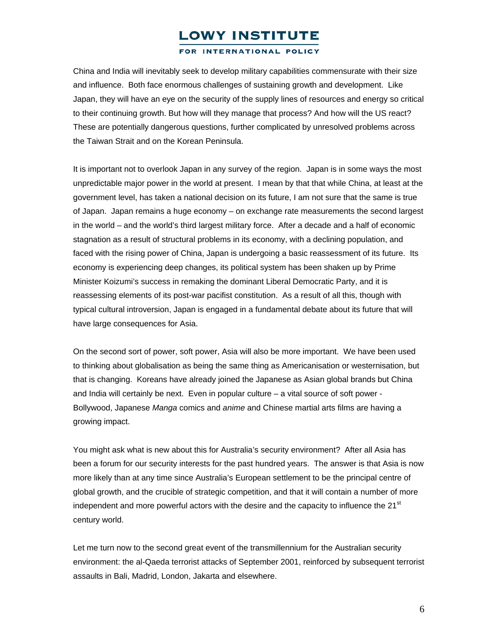FOR INTERNATIONAL POLICY

China and India will inevitably seek to develop military capabilities commensurate with their size and influence. Both face enormous challenges of sustaining growth and development. Like Japan, they will have an eye on the security of the supply lines of resources and energy so critical to their continuing growth. But how will they manage that process? And how will the US react? These are potentially dangerous questions, further complicated by unresolved problems across the Taiwan Strait and on the Korean Peninsula.

It is important not to overlook Japan in any survey of the region. Japan is in some ways the most unpredictable major power in the world at present. I mean by that that while China, at least at the government level, has taken a national decision on its future, I am not sure that the same is true of Japan. Japan remains a huge economy – on exchange rate measurements the second largest in the world – and the world's third largest military force. After a decade and a half of economic stagnation as a result of structural problems in its economy, with a declining population, and faced with the rising power of China, Japan is undergoing a basic reassessment of its future. Its economy is experiencing deep changes, its political system has been shaken up by Prime Minister Koizumi's success in remaking the dominant Liberal Democratic Party, and it is reassessing elements of its post-war pacifist constitution. As a result of all this, though with typical cultural introversion, Japan is engaged in a fundamental debate about its future that will have large consequences for Asia.

On the second sort of power, soft power, Asia will also be more important. We have been used to thinking about globalisation as being the same thing as Americanisation or westernisation, but that is changing. Koreans have already joined the Japanese as Asian global brands but China and India will certainly be next. Even in popular culture – a vital source of soft power - Bollywood, Japanese *Manga* comics and *anime* and Chinese martial arts films are having a growing impact.

You might ask what is new about this for Australia's security environment? After all Asia has been a forum for our security interests for the past hundred years. The answer is that Asia is now more likely than at any time since Australia's European settlement to be the principal centre of global growth, and the crucible of strategic competition, and that it will contain a number of more independent and more powerful actors with the desire and the capacity to influence the  $21^{st}$ century world.

Let me turn now to the second great event of the transmillennium for the Australian security environment: the al-Qaeda terrorist attacks of September 2001, reinforced by subsequent terrorist assaults in Bali, Madrid, London, Jakarta and elsewhere.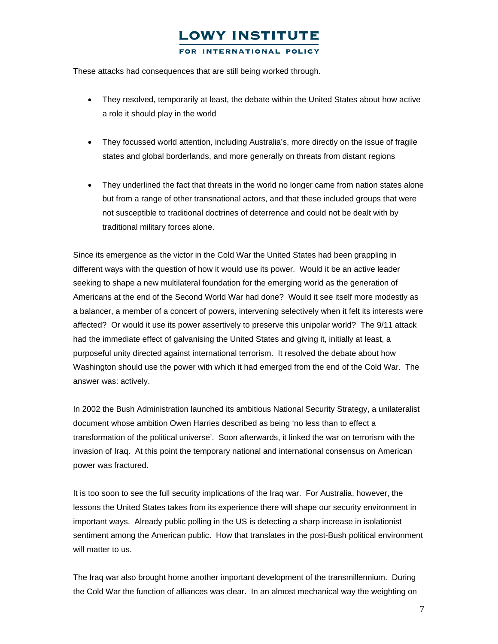#### FOR INTERNATIONAL POLICY

These attacks had consequences that are still being worked through.

- They resolved, temporarily at least, the debate within the United States about how active a role it should play in the world
- They focussed world attention, including Australia's, more directly on the issue of fragile states and global borderlands, and more generally on threats from distant regions
- They underlined the fact that threats in the world no longer came from nation states alone but from a range of other transnational actors, and that these included groups that were not susceptible to traditional doctrines of deterrence and could not be dealt with by traditional military forces alone.

Since its emergence as the victor in the Cold War the United States had been grappling in different ways with the question of how it would use its power. Would it be an active leader seeking to shape a new multilateral foundation for the emerging world as the generation of Americans at the end of the Second World War had done? Would it see itself more modestly as a balancer, a member of a concert of powers, intervening selectively when it felt its interests were affected? Or would it use its power assertively to preserve this unipolar world? The 9/11 attack had the immediate effect of galvanising the United States and giving it, initially at least, a purposeful unity directed against international terrorism. It resolved the debate about how Washington should use the power with which it had emerged from the end of the Cold War. The answer was: actively.

In 2002 the Bush Administration launched its ambitious National Security Strategy, a unilateralist document whose ambition Owen Harries described as being 'no less than to effect a transformation of the political universe'. Soon afterwards, it linked the war on terrorism with the invasion of Iraq. At this point the temporary national and international consensus on American power was fractured.

It is too soon to see the full security implications of the Iraq war. For Australia, however, the lessons the United States takes from its experience there will shape our security environment in important ways. Already public polling in the US is detecting a sharp increase in isolationist sentiment among the American public. How that translates in the post-Bush political environment will matter to us.

The Iraq war also brought home another important development of the transmillennium. During the Cold War the function of alliances was clear. In an almost mechanical way the weighting on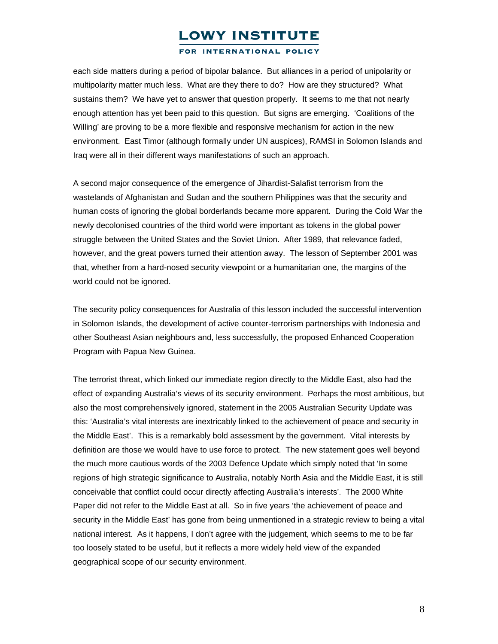#### FOR INTERNATIONAL POLICY

each side matters during a period of bipolar balance. But alliances in a period of unipolarity or multipolarity matter much less. What are they there to do? How are they structured? What sustains them? We have yet to answer that question properly. It seems to me that not nearly enough attention has yet been paid to this question. But signs are emerging. 'Coalitions of the Willing' are proving to be a more flexible and responsive mechanism for action in the new environment. East Timor (although formally under UN auspices), RAMSI in Solomon Islands and Iraq were all in their different ways manifestations of such an approach.

A second major consequence of the emergence of Jihardist-Salafist terrorism from the wastelands of Afghanistan and Sudan and the southern Philippines was that the security and human costs of ignoring the global borderlands became more apparent. During the Cold War the newly decolonised countries of the third world were important as tokens in the global power struggle between the United States and the Soviet Union. After 1989, that relevance faded, however, and the great powers turned their attention away. The lesson of September 2001 was that, whether from a hard-nosed security viewpoint or a humanitarian one, the margins of the world could not be ignored.

The security policy consequences for Australia of this lesson included the successful intervention in Solomon Islands, the development of active counter-terrorism partnerships with Indonesia and other Southeast Asian neighbours and, less successfully, the proposed Enhanced Cooperation Program with Papua New Guinea.

The terrorist threat, which linked our immediate region directly to the Middle East, also had the effect of expanding Australia's views of its security environment. Perhaps the most ambitious, but also the most comprehensively ignored, statement in the 2005 Australian Security Update was this: 'Australia's vital interests are inextricably linked to the achievement of peace and security in the Middle East'. This is a remarkably bold assessment by the government. Vital interests by definition are those we would have to use force to protect. The new statement goes well beyond the much more cautious words of the 2003 Defence Update which simply noted that 'In some regions of high strategic significance to Australia, notably North Asia and the Middle East, it is still conceivable that conflict could occur directly affecting Australia's interests'. The 2000 White Paper did not refer to the Middle East at all. So in five years 'the achievement of peace and security in the Middle East' has gone from being unmentioned in a strategic review to being a vital national interest. As it happens, I don't agree with the judgement, which seems to me to be far too loosely stated to be useful, but it reflects a more widely held view of the expanded geographical scope of our security environment.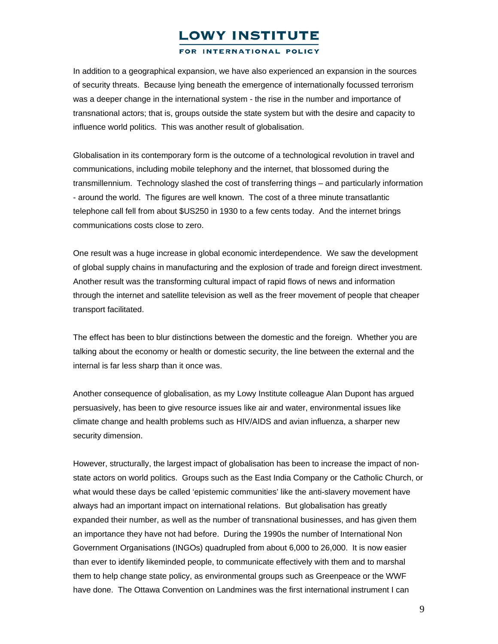#### FOR INTERNATIONAL POLICY

In addition to a geographical expansion, we have also experienced an expansion in the sources of security threats. Because lying beneath the emergence of internationally focussed terrorism was a deeper change in the international system - the rise in the number and importance of transnational actors; that is, groups outside the state system but with the desire and capacity to influence world politics. This was another result of globalisation.

Globalisation in its contemporary form is the outcome of a technological revolution in travel and communications, including mobile telephony and the internet, that blossomed during the transmillennium. Technology slashed the cost of transferring things – and particularly information - around the world. The figures are well known. The cost of a three minute transatlantic telephone call fell from about \$US250 in 1930 to a few cents today. And the internet brings communications costs close to zero.

One result was a huge increase in global economic interdependence. We saw the development of global supply chains in manufacturing and the explosion of trade and foreign direct investment. Another result was the transforming cultural impact of rapid flows of news and information through the internet and satellite television as well as the freer movement of people that cheaper transport facilitated.

The effect has been to blur distinctions between the domestic and the foreign. Whether you are talking about the economy or health or domestic security, the line between the external and the internal is far less sharp than it once was.

Another consequence of globalisation, as my Lowy Institute colleague Alan Dupont has argued persuasively, has been to give resource issues like air and water, environmental issues like climate change and health problems such as HIV/AIDS and avian influenza, a sharper new security dimension.

However, structurally, the largest impact of globalisation has been to increase the impact of nonstate actors on world politics. Groups such as the East India Company or the Catholic Church, or what would these days be called 'epistemic communities' like the anti-slavery movement have always had an important impact on international relations. But globalisation has greatly expanded their number, as well as the number of transnational businesses, and has given them an importance they have not had before. During the 1990s the number of International Non Government Organisations (INGOs) quadrupled from about 6,000 to 26,000. It is now easier than ever to identify likeminded people, to communicate effectively with them and to marshal them to help change state policy, as environmental groups such as Greenpeace or the WWF have done. The Ottawa Convention on Landmines was the first international instrument I can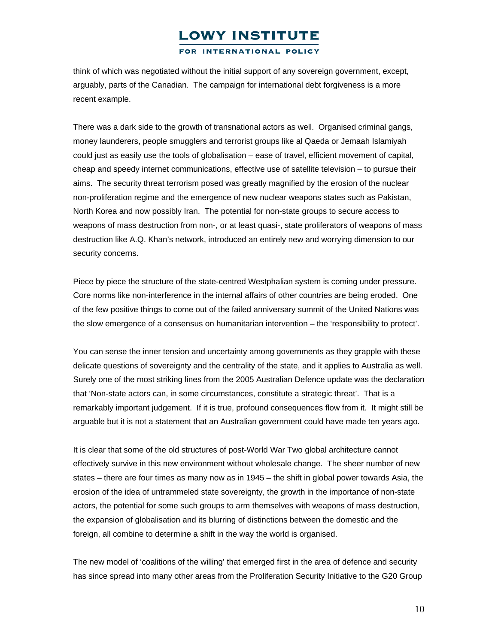FOR INTERNATIONAL POLICY

think of which was negotiated without the initial support of any sovereign government, except, arguably, parts of the Canadian. The campaign for international debt forgiveness is a more recent example.

There was a dark side to the growth of transnational actors as well. Organised criminal gangs, money launderers, people smugglers and terrorist groups like al Qaeda or Jemaah Islamiyah could just as easily use the tools of globalisation – ease of travel, efficient movement of capital, cheap and speedy internet communications, effective use of satellite television – to pursue their aims. The security threat terrorism posed was greatly magnified by the erosion of the nuclear non-proliferation regime and the emergence of new nuclear weapons states such as Pakistan, North Korea and now possibly Iran. The potential for non-state groups to secure access to weapons of mass destruction from non-, or at least quasi-, state proliferators of weapons of mass destruction like A.Q. Khan's network, introduced an entirely new and worrying dimension to our security concerns.

Piece by piece the structure of the state-centred Westphalian system is coming under pressure. Core norms like non-interference in the internal affairs of other countries are being eroded. One of the few positive things to come out of the failed anniversary summit of the United Nations was the slow emergence of a consensus on humanitarian intervention – the 'responsibility to protect'.

You can sense the inner tension and uncertainty among governments as they grapple with these delicate questions of sovereignty and the centrality of the state, and it applies to Australia as well. Surely one of the most striking lines from the 2005 Australian Defence update was the declaration that 'Non-state actors can, in some circumstances, constitute a strategic threat'. That is a remarkably important judgement. If it is true, profound consequences flow from it. It might still be arguable but it is not a statement that an Australian government could have made ten years ago.

It is clear that some of the old structures of post-World War Two global architecture cannot effectively survive in this new environment without wholesale change. The sheer number of new states – there are four times as many now as in 1945 – the shift in global power towards Asia, the erosion of the idea of untrammeled state sovereignty, the growth in the importance of non-state actors, the potential for some such groups to arm themselves with weapons of mass destruction, the expansion of globalisation and its blurring of distinctions between the domestic and the foreign, all combine to determine a shift in the way the world is organised.

The new model of 'coalitions of the willing' that emerged first in the area of defence and security has since spread into many other areas from the Proliferation Security Initiative to the G20 Group